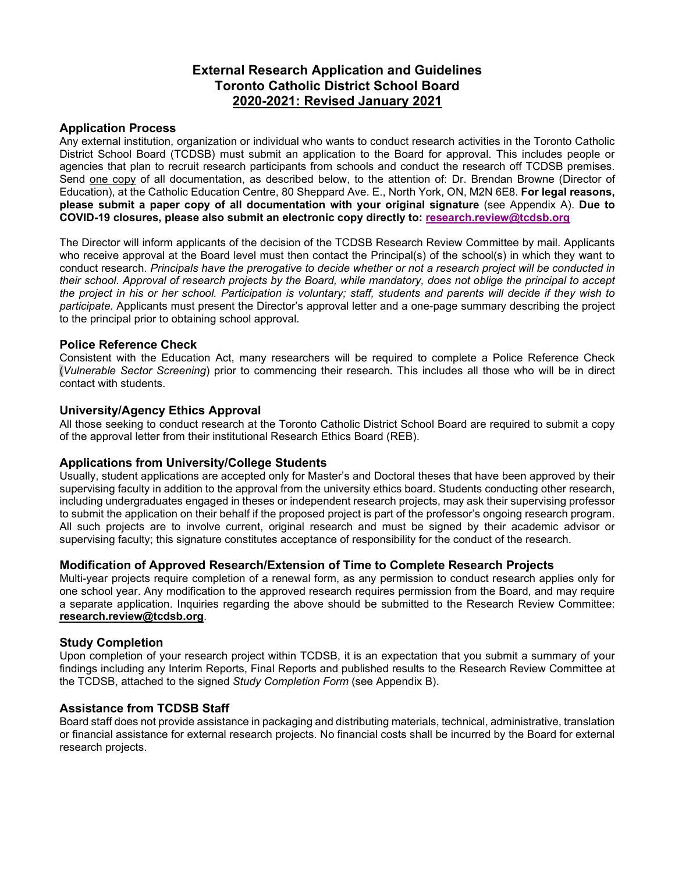# **External Research Application and Guidelines Toronto Catholic District School Board 2020-2021: Revised January 2021**

# **Application Process**

Any external institution, organization or individual who wants to conduct research activities in the Toronto Catholic District School Board (TCDSB) must submit an application to the Board for approval. This includes people or agencies that plan to recruit research participants from schools and conduct the research off TCDSB premises. Send one copy of all documentation, as described below, to the attention of: Dr. Brendan Browne (Director of Education), at the Catholic Education Centre, 80 Sheppard Ave. E., North York, ON, M2N 6E8. **For legal reasons, please submit a paper copy of all documentation with your original signature** (see Appendix A). **Due to COVID-19 closures, please also submit an electronic copy directly to: [research.review@tcdsb.org](mailto:research.review@tcdsb.org)**

The Director will inform applicants of the decision of the TCDSB Research Review Committee by mail. Applicants who receive approval at the Board level must then contact the Principal(s) of the school(s) in which they want to conduct research. *Principals have the prerogative to decide whether or not a research project will be conducted in their school. Approval of research projects by the Board, while mandatory, does not oblige the principal to accept the project in his or her school. Participation is voluntary; staff, students and parents will decide if they wish to participate.* Applicants must present the Director's approval letter and a one-page summary describing the project to the principal prior to obtaining school approval.

# **Police Reference Check**

Consistent with the Education Act, many researchers will be required to complete a Police Reference Check (*Vulnerable Sector Screening*) prior to commencing their research. This includes all those who will be in direct contact with students.

# **University/Agency Ethics Approval**

All those seeking to conduct research at the Toronto Catholic District School Board are required to submit a copy of the approval letter from their institutional Research Ethics Board (REB).

# **Applications from University/College Students**

Usually, student applications are accepted only for Master's and Doctoral theses that have been approved by their supervising faculty in addition to the approval from the university ethics board. Students conducting other research, including undergraduates engaged in theses or independent research projects, may ask their supervising professor to submit the application on their behalf if the proposed project is part of the professor's ongoing research program. All such projects are to involve current, original research and must be signed by their academic advisor or supervising faculty; this signature constitutes acceptance of responsibility for the conduct of the research.

# **Modification of Approved Research/Extension of Time to Complete Research Projects**

Multi-year projects require completion of a renewal form, as any permission to conduct research applies only for one school year. Any modification to the approved research requires permission from the Board, and may require a separate application. Inquiries regarding the above should be submitted to the Research Review Committee: **[research.review@tcdsb.org](mailto:research.review@tcdsb.org)**.

# **Study Completion**

Upon completion of your research project within TCDSB, it is an expectation that you submit a summary of your findings including any Interim Reports, Final Reports and published results to the Research Review Committee at the TCDSB, attached to the signed *Study Completion Form* (see Appendix B).

# **Assistance from TCDSB Staff**

Board staff does not provide assistance in packaging and distributing materials, technical, administrative, translation or financial assistance for external research projects. No financial costs shall be incurred by the Board for external research projects.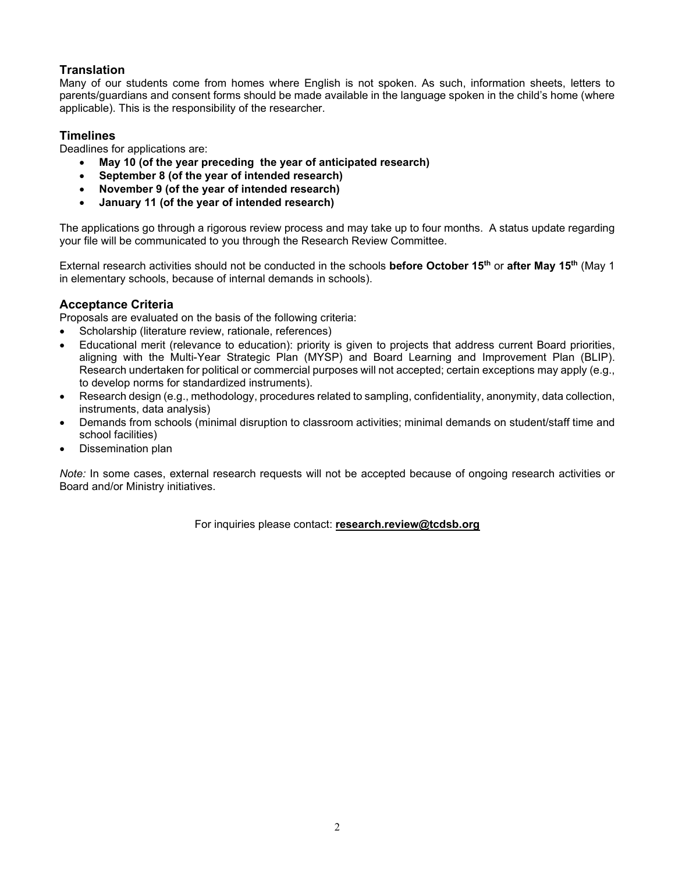# **Translation**

Many of our students come from homes where English is not spoken. As such, information sheets, letters to parents/guardians and consent forms should be made available in the language spoken in the child's home (where applicable). This is the responsibility of the researcher.

# **Timelines**

Deadlines for applications are:

- **May 10 (of the year preceding the year of anticipated research)**
- **September 8 (of the year of intended research)**
- **November 9 (of the year of intended research)**
- **January 11 (of the year of intended research)**

The applications go through a rigorous review process and may take up to four months. A status update regarding your file will be communicated to you through the Research Review Committee.

External research activities should not be conducted in the schools **before October 15th** or **after May 15th** (May 1 in elementary schools, because of internal demands in schools).

# **Acceptance Criteria**

Proposals are evaluated on the basis of the following criteria:

- Scholarship (literature review, rationale, references)
- Educational merit (relevance to education): priority is given to projects that address current Board priorities, aligning with the Multi-Year Strategic Plan (MYSP) and Board Learning and Improvement Plan (BLIP). Research undertaken for political or commercial purposes will not accepted; certain exceptions may apply (e.g., to develop norms for standardized instruments).
- Research design (e.g., methodology, procedures related to sampling, confidentiality, anonymity, data collection, instruments, data analysis)
- Demands from schools (minimal disruption to classroom activities; minimal demands on student/staff time and school facilities)
- Dissemination plan

*Note:* In some cases, external research requests will not be accepted because of ongoing research activities or Board and/or Ministry initiatives.

For inquiries please contact: **[research.review@tcdsb.org](mailto:research.review@tcdsb.org)**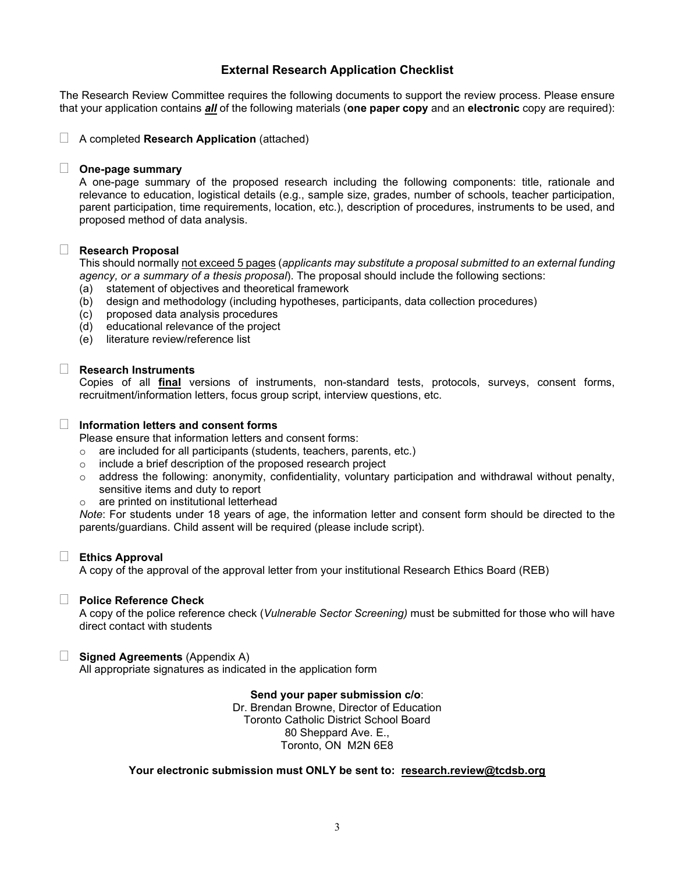# **External Research Application Checklist**

The Research Review Committee requires the following documents to support the review process. Please ensure that your application contains *all* of the following materials (**one paper copy** and an **electronic** copy are required):

A completed **Research Application** (attached)

#### **One-page summary**

A one-page summary of the proposed research including the following components: title, rationale and relevance to education, logistical details (e.g., sample size, grades, number of schools, teacher participation, parent participation, time requirements, location, etc.), description of procedures, instruments to be used, and proposed method of data analysis.

### **Research Proposal**

This should normally not exceed 5 pages (*applicants may substitute a proposal submitted to an external funding agency, or a summary of a thesis proposal*). The proposal should include the following sections:

- (a) statement of objectives and theoretical framework
- (b) design and methodology (including hypotheses, participants, data collection procedures)
- (c) proposed data analysis procedures
- (d) educational relevance of the project
- (e) literature review/reference list

#### **Research Instruments**

Copies of all **final** versions of instruments, non-standard tests, protocols, surveys, consent forms, recruitment/information letters, focus group script, interview questions, etc.

## **Information letters and consent forms**

Please ensure that information letters and consent forms:

 $\circ$  are included for all participants (students, teachers, parents, etc.)

- o include a brief description of the proposed research project
- $\circ$  address the following: anonymity, confidentiality, voluntary participation and withdrawal without penalty, sensitive items and duty to report
- are printed on institutional letterhead

*Note*: For students under 18 years of age, the information letter and consent form should be directed to the parents/guardians. Child assent will be required (please include script).

### **Ethics Approval**

A copy of the approval of the approval letter from your institutional Research Ethics Board (REB)

### **Police Reference Check**

A copy of the police reference check (*Vulnerable Sector Screening)* must be submitted for those who will have direct contact with students

### **Signed Agreements** (Appendix A)

All appropriate signatures as indicated in the application form

#### **Send your paper submission c/o**:

Dr. Brendan Browne, Director of Education Toronto Catholic District School Board 80 Sheppard Ave. E., Toronto, ON M2N 6E8

### **Your electronic submission must ONLY be sent to: [research.review@tcdsb.org](mailto:research.review@tcdsb.org)**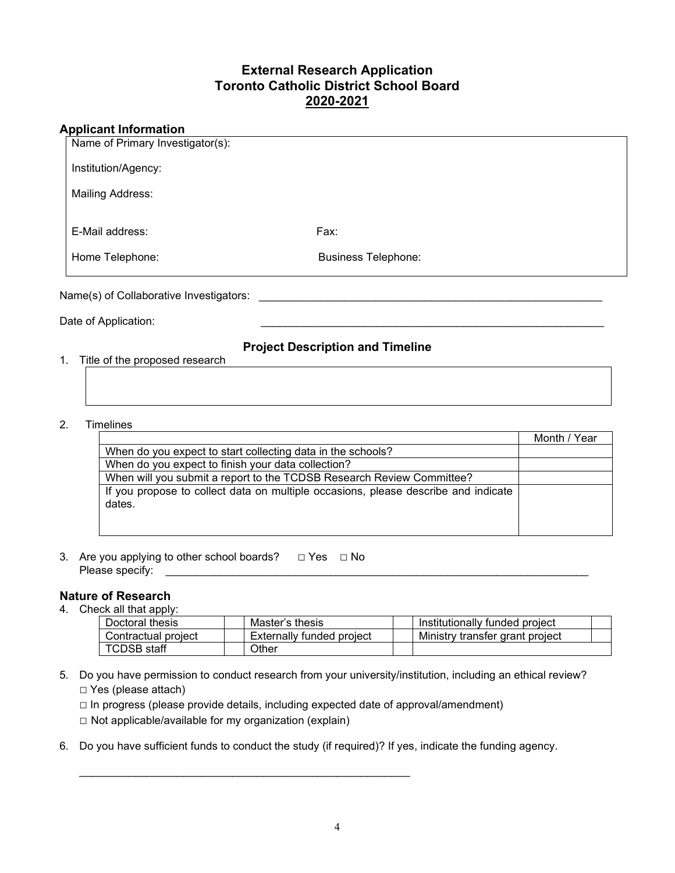# **External Research Application Toronto Catholic District School Board 2020-2021**

# **Applicant Information**

| <b>Business Telephone:</b> |      |
|----------------------------|------|
|                            |      |
|                            | Fax: |

Date of Application:

# **Project Description and Timeline**

1. Title of the proposed research

# 2. Timelines

|                                                                                              | Month / Year |
|----------------------------------------------------------------------------------------------|--------------|
| When do you expect to start collecting data in the schools?                                  |              |
| When do you expect to finish your data collection?                                           |              |
| When will you submit a report to the TCDSB Research Review Committee?                        |              |
| If you propose to collect data on multiple occasions, please describe and indicate<br>dates. |              |
|                                                                                              |              |

3. Are you applying to other school boards? *□* Yes *□* No Please specify:

# **Nature of Research**

4. Check all that apply:

| Doctoral thesis      | Master's thesis           | Institutionally funded project  |
|----------------------|---------------------------|---------------------------------|
| Contractual proiect_ | Externally funded project | Ministry transfer grant project |
| <b>TCDSB</b> staff   | .<br>Other                |                                 |

5. Do you have permission to conduct research from your university/institution, including an ethical review? *□* Yes (please attach)

*□* In progress (please provide details, including expected date of approval/amendment)

*□* Not applicable/available for my organization (explain)

\_\_\_\_\_\_\_\_\_\_\_\_\_\_\_\_\_\_\_\_\_\_\_\_\_\_\_\_\_\_\_\_\_\_\_\_\_\_\_\_\_\_\_\_\_\_\_\_\_\_\_\_\_\_

6. Do you have sufficient funds to conduct the study (if required)? If yes, indicate the funding agency.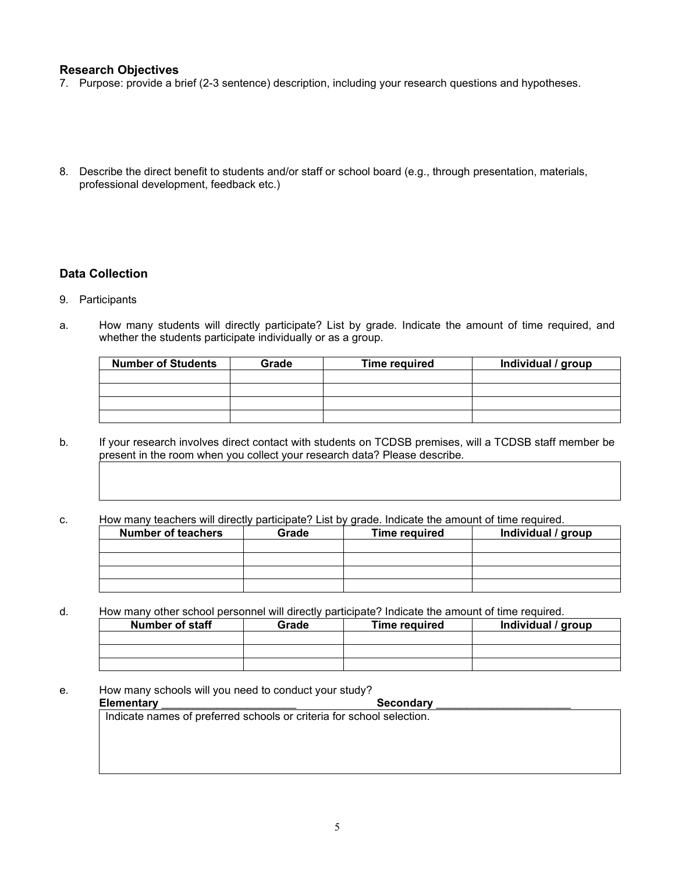## **Research Objectives**

- 7. Purpose: provide a brief (2-3 sentence) description, including your research questions and hypotheses.
- 8. Describe the direct benefit to students and/or staff or school board (e.g., through presentation, materials, professional development, feedback etc.)

# **Data Collection**

- 9. Participants
- a. How many students will directly participate? List by grade. Indicate the amount of time required, and whether the students participate individually or as a group.

| <b>Number of Students</b> | Grade | <b>Time required</b> | Individual / group |
|---------------------------|-------|----------------------|--------------------|
|                           |       |                      |                    |
|                           |       |                      |                    |
|                           |       |                      |                    |
|                           |       |                      |                    |

b. If your research involves direct contact with students on TCDSB premises, will a TCDSB staff member be present in the room when you collect your research data? Please describe.

## c. How many teachers will directly participate? List by grade. Indicate the amount of time required.

| <b>Number of teachers</b> | Grade | <b>Time required</b> | Individual / group |
|---------------------------|-------|----------------------|--------------------|
|                           |       |                      |                    |
|                           |       |                      |                    |
|                           |       |                      |                    |
|                           |       |                      |                    |

d. How many other school personnel will directly participate? Indicate the amount of time required.

| Number of staff | Grade | <b>Time required</b> | Individual / group |
|-----------------|-------|----------------------|--------------------|
|                 |       |                      |                    |
|                 |       |                      |                    |
|                 |       |                      |                    |

e. How many schools will you need to conduct your study?<br>**Elementary** Secondary

#### Elementary

Indicate names of preferred schools or criteria for school selection.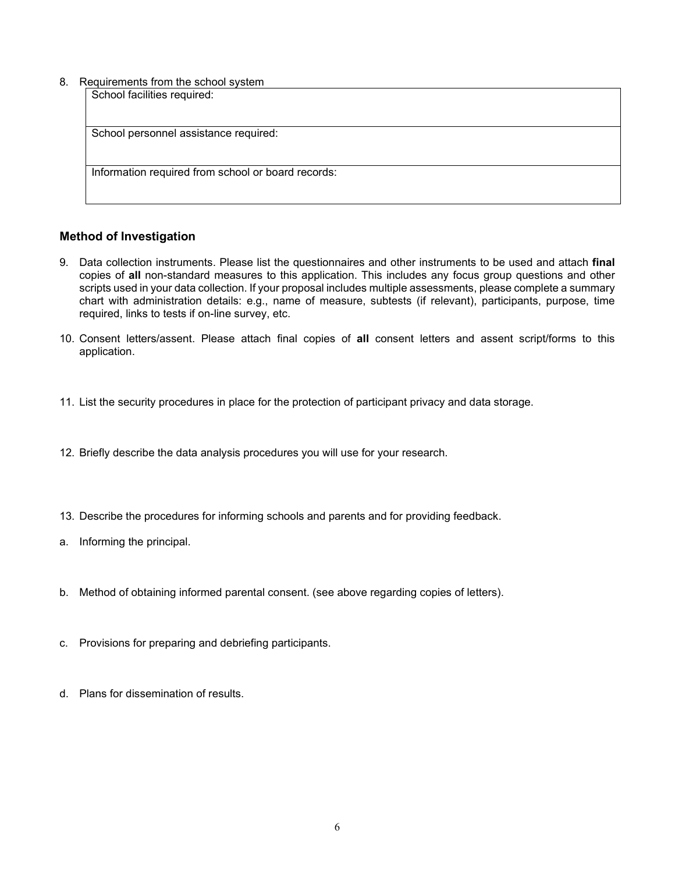8. Requirements from the school system

| togallonionto ironi tho concor oyotom              |  |
|----------------------------------------------------|--|
| School facilities required:                        |  |
|                                                    |  |
|                                                    |  |
| School personnel assistance required:              |  |
|                                                    |  |
|                                                    |  |
| Information required from school or board records: |  |
|                                                    |  |
|                                                    |  |

# **Method of Investigation**

- 9. Data collection instruments. Please list the questionnaires and other instruments to be used and attach **final** copies of **all** non-standard measures to this application. This includes any focus group questions and other scripts used in your data collection. If your proposal includes multiple assessments, please complete a summary chart with administration details: e.g., name of measure, subtests (if relevant), participants, purpose, time required, links to tests if on-line survey, etc.
- 10. Consent letters/assent. Please attach final copies of **all** consent letters and assent script/forms to this application.
- 11. List the security procedures in place for the protection of participant privacy and data storage.
- 12. Briefly describe the data analysis procedures you will use for your research.
- 13. Describe the procedures for informing schools and parents and for providing feedback.
- a. Informing the principal.
- b. Method of obtaining informed parental consent. (see above regarding copies of letters).
- c. Provisions for preparing and debriefing participants.
- d. Plans for dissemination of results.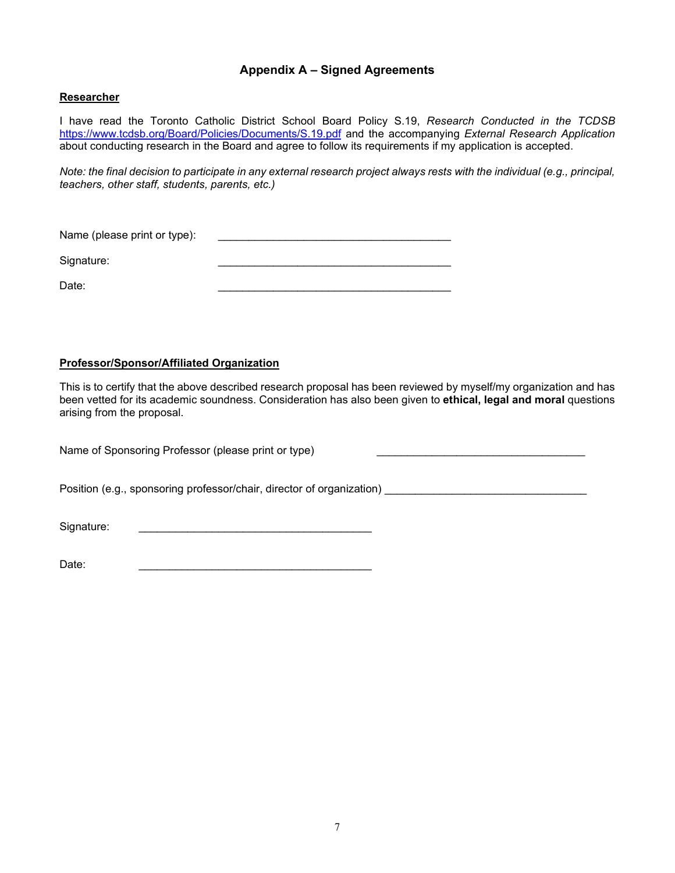# **Appendix A – Signed Agreements**

# **Researcher**

I have read the Toronto Catholic District School Board Policy S.19, *Research Conducted in the TCDSB*  <https://www.tcdsb.org/Board/Policies/Documents/S.19.pdf> and the accompanying *External Research Application*  about conducting research in the Board and agree to follow its requirements if my application is accepted.

*Note: the final decision to participate in any external research project always rests with the individual (e.g., principal, teachers, other staff, students, parents, etc.)*

Name (please print or type): \_\_\_\_\_\_\_\_\_\_\_\_\_\_\_\_\_\_\_\_\_\_\_\_\_\_\_\_\_\_\_\_\_\_\_\_\_\_

Signature:

Date: \_\_\_\_\_\_\_\_\_\_\_\_\_\_\_\_\_\_\_\_\_\_\_\_\_\_\_\_\_\_\_\_\_\_\_\_\_\_

# **Professor/Sponsor/Affiliated Organization**

This is to certify that the above described research proposal has been reviewed by myself/my organization and has been vetted for its academic soundness. Consideration has also been given to **ethical, legal and moral** questions arising from the proposal.

Name of Sponsoring Professor (please print or type) Position (e.g., sponsoring professor/chair, director of organization) \_\_\_\_\_\_\_\_\_\_\_\_\_\_\_\_\_\_\_\_\_\_\_\_\_\_\_\_\_\_\_\_\_ Signature: \_\_\_\_\_\_\_\_\_\_\_\_\_\_\_\_\_\_\_\_\_\_\_\_\_\_\_\_\_\_\_\_\_\_\_\_\_\_

Date: \_\_\_\_\_\_\_\_\_\_\_\_\_\_\_\_\_\_\_\_\_\_\_\_\_\_\_\_\_\_\_\_\_\_\_\_\_\_